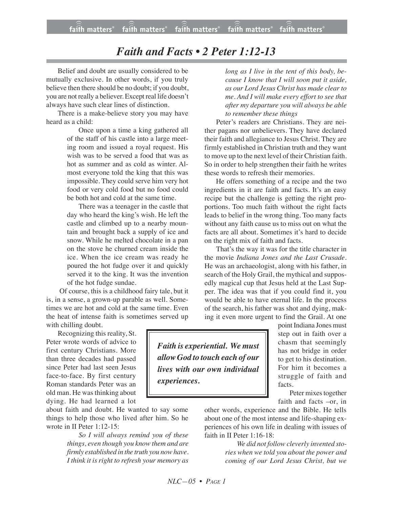## *Faith and Facts • 2 Peter 1:12-13*

Belief and doubt are usually considered to be mutually exclusive. In other words, if you truly believe then there should be no doubt; if you doubt, you are not really a believer. Exceptreal life doesn't always have such clear lines of distinction.

There is a make-believe story you may have heard as a child:

> Once upon a time a king gathered all of the staff of his castle into a large meeting room and issued a royal request. His wish was to be served a food that was as hot as summer and as cold as winter. Almost everyone told the king that this was impossible. They could serve him very hot food or very cold food but no food could be both hot and cold at the same time.

> There was a teenager in the castle that day who heard the king's wish. He left the castle and climbed up to a nearby mountain and brought back a supply of ice and snow. While he melted chocolate in a pan on the stove he churned cream inside the ice. When the ice cream was ready he poured the hot fudge over it and quickly served it to the king. It was the invention of the hot fudge sundae.

Of course, this is a childhood fairy tale, but it is, in a sense, a grown-up parable as well. Sometimes we are hot and cold at the same time. Even the heat of intense faith is sometimes served up with chilling doubt.

Recognizing this reality, St. Peter wrote words of advice to first century Christians. More than three decades had passed since Peter had last seen Jesus face-to-face. By first century Roman standards Peter was an old man. He was thinking about dying. He had learned a lot

about faith and doubt. He wanted to say some things to help those who lived after him. So he wrote in II Peter 1:12-15:

> *So I will always remind you of these things, even though you know them and are firmly established in the truth you nowhave. I think it is right to refresh your memory as*

*long as I live in the tent of this body, because I know that I will soon put it aside, as our Lord Jesus Christ has made clear to me. And I will make every effort to see that after my departure you will always be able to remember these things*

Peter's readers are Christians. They are neither pagans nor unbelievers. They have declared their faith and allegiance to Jesus Christ. They are firmly established in Christian truth and they want to move up to the next level of their Christian faith. So in order to help strengthen their faith he writes these words to refresh their memories.

He offers something of a recipe and the two ingredients in it are faith and facts. It's an easy recipe but the challenge is getting the right proportions. Too much faith without the right facts leads to belief in the wrong thing. Too many facts without any faith cause us to miss out on what the facts are all about. Sometimes it's hard to decide on the right mix of faith and facts.

That's the way it was for the title character in the movie *Indiana Jones and the Last Crusade.* He was an archaeologist, along with his father, in search of the Holy Grail, the mythical and supposedly magical cup that Jesus held at the Last Supper. The idea was that if you could find it, you would be able to have eternal life. In the process of the search, his father was shot and dying, making it even more urgent to find the Grail. At one

*Faith is experiential. We must allow God to touch each of our lives with our own individual experiences.*

point Indiana Jones must step out in faith over a chasm that seemingly has not bridge in order to get to his destination. For him it becomes a struggle of faith and facts.

Peter mixes together faith and facts –or, in

other words, experience and the Bible. He tells about one of the most intense and life-shaping experiences of his own life in dealing with issues of faith in II Peter 1:16-18:

> *We did not follow cleverly invented stories when we told you about the power and coming of our Lord Jesus Christ, but we*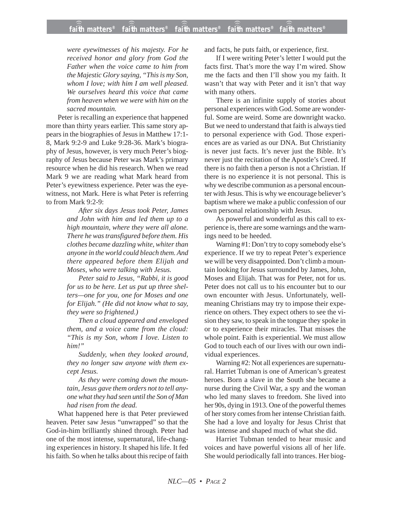*were eyewitnesses of his majesty. For he received honor and glory from God the Father when the voice came to him from the Majestic Glory saying, "This is my Son, whom I love; with him I am well pleased. We ourselves heard this voice that came from heaven when we were with him on the sacred mountain.*

Peter is recalling an experience that happened more than thirty years earlier. This same story appears in the biographies of Jesus in Matthew 17:1- 8, Mark 9:2-9 and Luke 9:28-36. Mark's biography of Jesus, however, is very much Peter's biography of Jesus because Peter was Mark's primary resource when he did his research. When we read Mark 9 we are reading what Mark heard from Peter's eyewitness experience. Peter was the eyewitness, not Mark. Here is what Peter is referring to from Mark 9:2-9:

> *After six days Jesus took Peter, James and John with him and led them up to a high mountain, where they were all alone. There he was transfigured before them. His clothes became dazzling white, whiter than anyone in the world could bleach them. And there appeared before them Elijah and Moses, who were talking with Jesus.*

*Peter said to Jesus, "Rabbi, it is good for us to be here. Let us put up three shelters—one for you, one for Moses and one for Elijah." (He did not know what to say, they were so frightened.)*

*Then a cloud appeared and enveloped them, and a voice came from the cloud: "This is my Son, whom I love. Listen to him!"*

*Suddenly, when they looked around, they no longer saw anyone with them except Jesus.*

*As they were coming down the mountain, Jesus gave them orders not to tell anyone what they had seen until the Son of Man had risen from the dead.*

What happened here is that Peter previewed heaven. Peter saw Jesus "unwrapped" so that the God-in-him brilliantly shined through. Peter had one of the most intense, supernatural, life-changing experiences in history. It shaped his life. It fed his faith. So when he talks about this recipe of faith

and facts, he puts faith, or experience, first.

If I were writing Peter's letter I would put the facts first. That's more the way I'm wired. Show me the facts and then I'll show you my faith. It wasn't that way with Peter and it isn't that way with many others.

There is an infinite supply of stories about personal experiences with God. Some are wonderful. Some are weird. Some are downright wacko. But we need to understand that faith is always tied to personal experience with God. Those experiences are as varied as our DNA. But Christianity is never just facts. It's never just the Bible. It's never just the recitation of the Apostle's Creed. If there is no faith then a person is not a Christian. If there is no experience it is not personal. This is why we describe communion as a personal encounter with Jesus. This is why we encourage believer's baptism where we make a public confession of our own personal relationship with Jesus.

As powerful and wonderful as this call to experience is, there are some warnings and the warnings need to be heeded.

Warning #1: Don't try to copy somebody else's experience. If we try to repeat Peter's experience we will be very disappointed. Don't climb a mountain looking for Jesus surrounded by James, John, Moses and Elijah. That was for Peter, not for us. Peter does not call us to his encounter but to our own encounter with Jesus. Unfortunately, wellmeaning Christians may try to impose their experience on others. They expect others to see the vision they saw, to speak in the tongue they spoke in or to experience their miracles. That misses the whole point. Faith is experiential. We must allow God to touch each of our lives with our own individual experiences.

Warning #2: Not all experiences are supernatural. Harriet Tubman is one of American's greatest heroes. Born a slave in the South she became a nurse during the Civil War, a spy and the woman who led many slaves to freedom. She lived into her 90s, dying in 1913. One of the powerful themes of her story comes from her intense Christian faith. She had a love and loyalty for Jesus Christ that was intense and shaped much of what she did.

Harriet Tubman tended to hear music and voices and have powerful visions all of her life. She would periodically fall into trances. Her biog-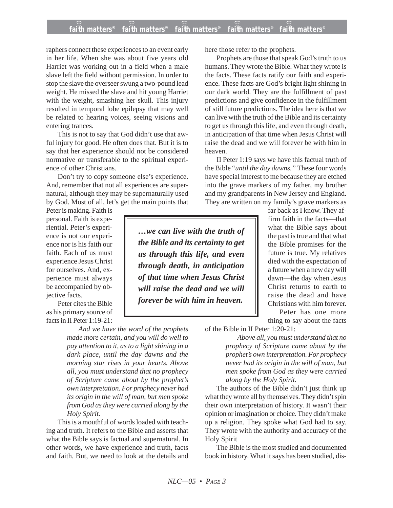## **faith matters® faith matters® faith matters® faith matters® faith matters®** ))) ))) ))) ))) )))

raphers connect these experiences to an event early in her life. When she was about five years old Harriet was working out in a field when a male slave left the field without permission. In order to stop the slave the overseer swung a two-pound lead weight. He missed the slave and hit young Harriet with the weight, smashing her skull. This injury resulted in temporal lobe epilepsy that may well be related to hearing voices, seeing visions and entering trances.

This is not to say that God didn't use that awful injury for good. He often does that. But it is to say that her experience should not be considered normative or transferable to the spiritual experience of other Christians.

Don't try to copy someone else's experience. And, remember that not all experiences are supernatural, although they may be supernaturally used by God. Most of all, let's get the main points that

Peter is making. Faith is personal. Faith is experiential. Peter's experience is not our experience nor is his faith our faith. Each of us must experience Jesus Christ for ourselves. And, experience must always be accompanied by objective facts.

Peter cites the Bible as his primary source of facts in II Peter 1:19-21:

*And we have the word of the prophets made more certain, and you will do well to pay attention to it, as to a light shining in a dark place, until the day dawns and the morning star rises in your hearts. Above all, you must understand that no prophecy of Scripture came about by the prophet's own interpretation. For prophecy never had its origin in the will of man, but men spoke from God as they were carried along by the Holy Spirit.*

This is a mouthful of words loaded with teaching and truth. It refers to the Bible and asserts that what the Bible says is factual and supernatural. In other words, we have experience and truth, facts and faith. But, we need to look at the details and

here those refer to the prophets.

Prophets are those that speak God's truth to us humans. They wrote the Bible. What they wrote is the facts. These facts ratify our faith and experience. These facts are God's bright light shining in our dark world. They are the fulfillment of past predictions and give confidence in the fulfillment of still future predictions. The idea here is that we can live with the truth of the Bible and its certainty to get us through this life, and even through death, in anticipation of that time when Jesus Christ will raise the dead and we will forever be with him in heaven.

II Peter 1:19 says we have this factual truth of the Bible "*until the day dawns."* These four words have special interest to me because they are etched into the grave markers of my father, my brother and my grandparents in New Jersey and England. They are written on my family's grave markers as

*…we can live with the truth of the Bible and its certainty to get us through this life, and even through death, in anticipation of that time when Jesus Christ will raise the dead and we will forever be with him in heaven.*

far back as I know. They affirm faith in the facts—that what the Bible says about the past is true and that what the Bible promises for the future is true. My relatives died with the expectation of a future when a new day will dawn—the day when Jesus Christ returns to earth to raise the dead and have Christians with him forever. Peter has one more

thing to say about the facts

of the Bible in II Peter 1:20-21:

*Above all, you must understand that no prophecy of Scripture came about by the prophet's own interpretation. For prophecy never had its origin in the will of man, but men spoke from God as they were carried along by the Holy Spirit.*

The authors of the Bible didn't just think up what they wrote all by themselves. They didn't spin their own interpretation of history. It wasn't their opinion or imagination or choice. They didn't make up a religion. They spoke what God had to say. They wrote with the authority and accuracy of the Holy Spirit

The Bible is the most studied and documented book in history. What it says has been studied, dis-